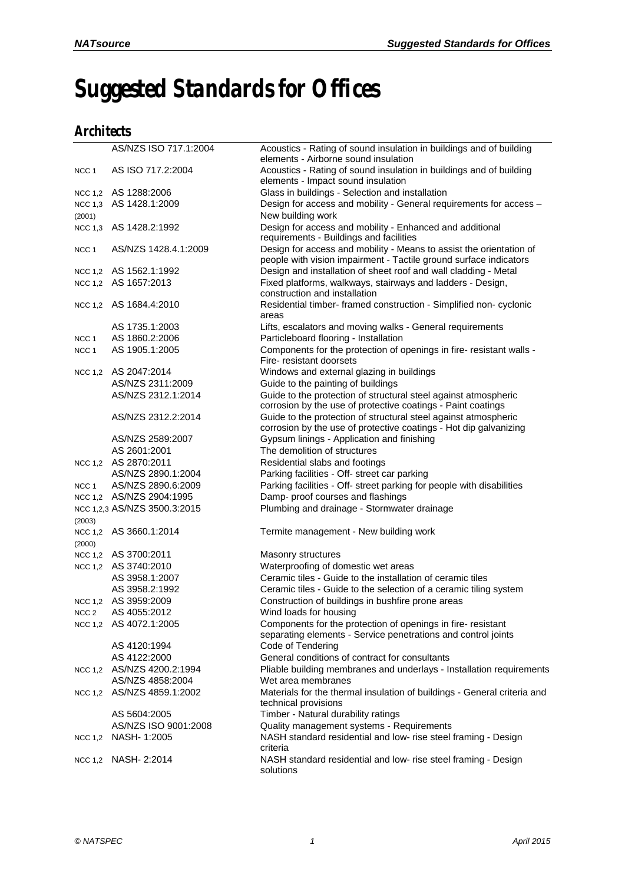## *Suggested Standards for Offices*

## *Architects*

|                  | AS/NZS ISO 717.1:2004        | Acoustics - Rating of sound insulation in buildings and of building<br>elements - Airborne sound insulation                              |
|------------------|------------------------------|------------------------------------------------------------------------------------------------------------------------------------------|
|                  |                              |                                                                                                                                          |
| NCC <sub>1</sub> | AS ISO 717.2:2004            | Acoustics - Rating of sound insulation in buildings and of building                                                                      |
|                  | NCC 1,2 AS 1288:2006         | elements - Impact sound insulation                                                                                                       |
|                  |                              | Glass in buildings - Selection and installation                                                                                          |
|                  | NCC 1,3 AS 1428.1:2009       | Design for access and mobility - General requirements for access -                                                                       |
| (2001)           |                              | New building work                                                                                                                        |
|                  | NCC 1,3 AS 1428.2:1992       | Design for access and mobility - Enhanced and additional<br>requirements - Buildings and facilities                                      |
| NCC 1            | AS/NZS 1428.4.1:2009         | Design for access and mobility - Means to assist the orientation of<br>people with vision impairment - Tactile ground surface indicators |
|                  | NCC 1,2 AS 1562.1:1992       | Design and installation of sheet roof and wall cladding - Metal                                                                          |
|                  | NCC 1,2 AS 1657:2013         | Fixed platforms, walkways, stairways and ladders - Design,<br>construction and installation                                              |
|                  | NCC 1,2 AS 1684.4:2010       | Residential timber- framed construction - Simplified non- cyclonic<br>areas                                                              |
|                  | AS 1735.1:2003               | Lifts, escalators and moving walks - General requirements                                                                                |
| NCC <sub>1</sub> | AS 1860.2:2006               | Particleboard flooring - Installation                                                                                                    |
| NCC 1            | AS 1905.1:2005               | Components for the protection of openings in fire- resistant walls -                                                                     |
|                  |                              | Fire- resistant doorsets                                                                                                                 |
|                  | NCC 1,2 AS 2047:2014         | Windows and external glazing in buildings                                                                                                |
|                  | AS/NZS 2311:2009             | Guide to the painting of buildings                                                                                                       |
|                  | AS/NZS 2312.1:2014           | Guide to the protection of structural steel against atmospheric                                                                          |
|                  |                              | corrosion by the use of protective coatings - Paint coatings                                                                             |
|                  | AS/NZS 2312.2:2014           | Guide to the protection of structural steel against atmospheric                                                                          |
|                  |                              | corrosion by the use of protective coatings - Hot dip galvanizing                                                                        |
|                  | AS/NZS 2589:2007             | Gypsum linings - Application and finishing                                                                                               |
|                  | AS 2601:2001                 | The demolition of structures                                                                                                             |
|                  | NCC 1,2 AS 2870:2011         | Residential slabs and footings                                                                                                           |
|                  | AS/NZS 2890.1:2004           | Parking facilities - Off- street car parking                                                                                             |
| NCC 1            | AS/NZS 2890.6:2009           | Parking facilities - Off- street parking for people with disabilities                                                                    |
|                  | NCC 1,2 AS/NZS 2904:1995     | Damp- proof courses and flashings                                                                                                        |
|                  | NCC 1,2,3 AS/NZS 3500.3:2015 | Plumbing and drainage - Stormwater drainage                                                                                              |
| (2003)           |                              |                                                                                                                                          |
|                  | NCC 1,2 AS 3660.1:2014       | Termite management - New building work                                                                                                   |
| (2000)           |                              |                                                                                                                                          |
|                  | NCC 1,2 AS 3700:2011         | Masonry structures                                                                                                                       |
|                  | NCC 1,2 AS 3740:2010         | Waterproofing of domestic wet areas                                                                                                      |
|                  | AS 3958.1:2007               | Ceramic tiles - Guide to the installation of ceramic tiles                                                                               |
|                  | AS 3958.2:1992               | Ceramic tiles - Guide to the selection of a ceramic tiling system                                                                        |
|                  | NCC 1,2 AS 3959:2009         | Construction of buildings in bushfire prone areas                                                                                        |
|                  | NCC 2 AS 4055:2012           | Wind loads for housing                                                                                                                   |
|                  | NCC 1.2 AS 4072.1:2005       | Components for the protection of openings in fire- resistant                                                                             |
|                  |                              | separating elements - Service penetrations and control joints                                                                            |
|                  | AS 4120:1994<br>AS 4122:2000 | Code of Tendering<br>General conditions of contract for consultants                                                                      |
|                  |                              |                                                                                                                                          |
|                  | NCC 1,2 AS/NZS 4200.2:1994   | Pliable building membranes and underlays - Installation requirements                                                                     |
|                  | AS/NZS 4858:2004             | Wet area membranes                                                                                                                       |
|                  | NCC 1,2 AS/NZS 4859.1:2002   | Materials for the thermal insulation of buildings - General criteria and<br>technical provisions                                         |
|                  | AS 5604:2005                 | Timber - Natural durability ratings                                                                                                      |
|                  | AS/NZS ISO 9001:2008         | Quality management systems - Requirements                                                                                                |
|                  | NCC 1,2 NASH- 1:2005         | NASH standard residential and low- rise steel framing - Design<br>criteria                                                               |
|                  | NCC 1,2 NASH- 2:2014         | NASH standard residential and low- rise steel framing - Design<br>solutions                                                              |